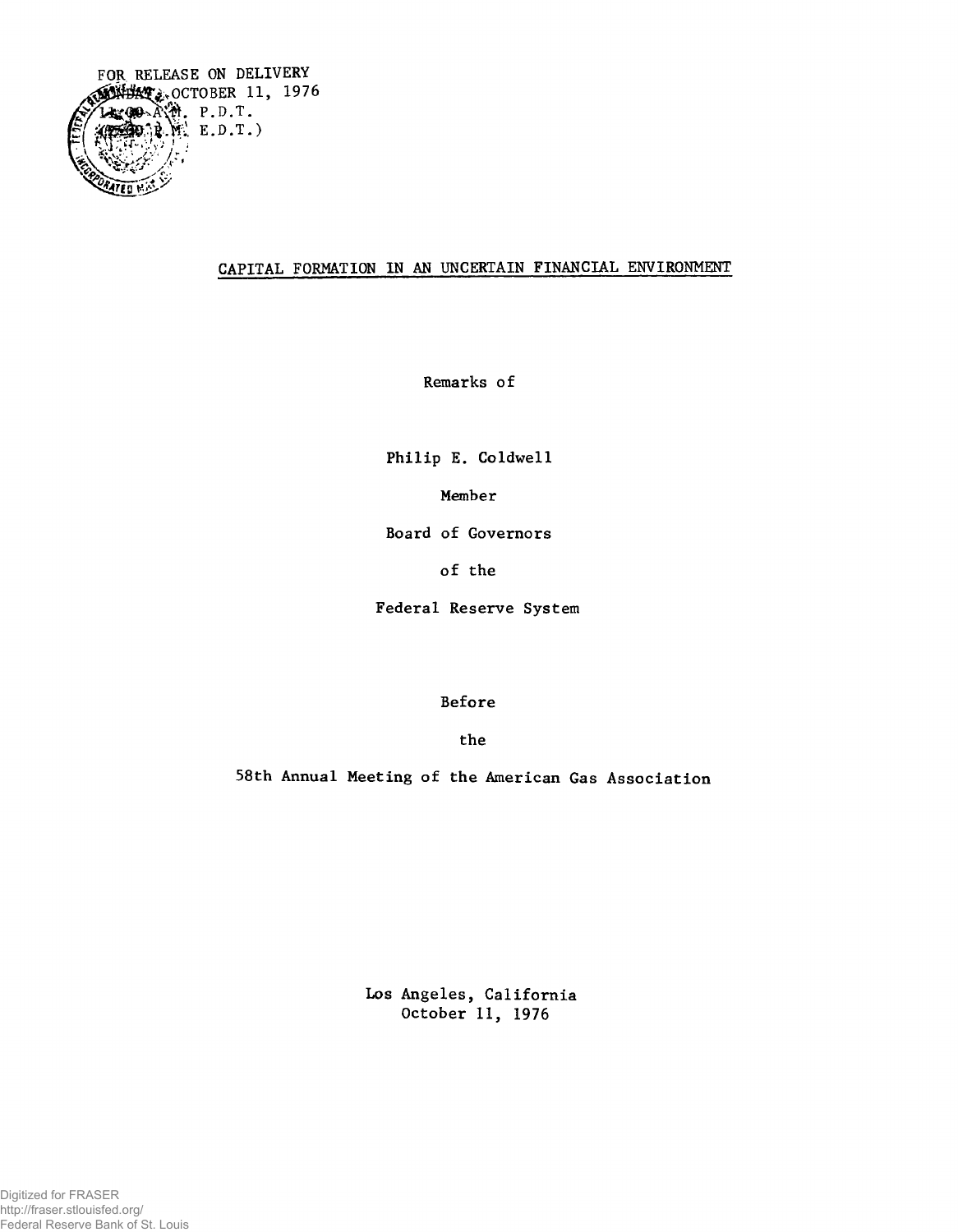

## **CAPITAL FORMATION IN AN UNCERTAIN FINANCIAL ENVIRONMENT**

**Remarks of**

**Philip E. Coldwell**

**Member**

**Board of Governors**

**of the**

**Federal Reserve System**

**Before**

**the**

**58th Annual Meeting of the American Gas Association**

**Los Angeles, California October 11, 1976**

Digitized for FRASER http://fraser.stlouisfed.org/ Federal Reserve Bank of St. Louis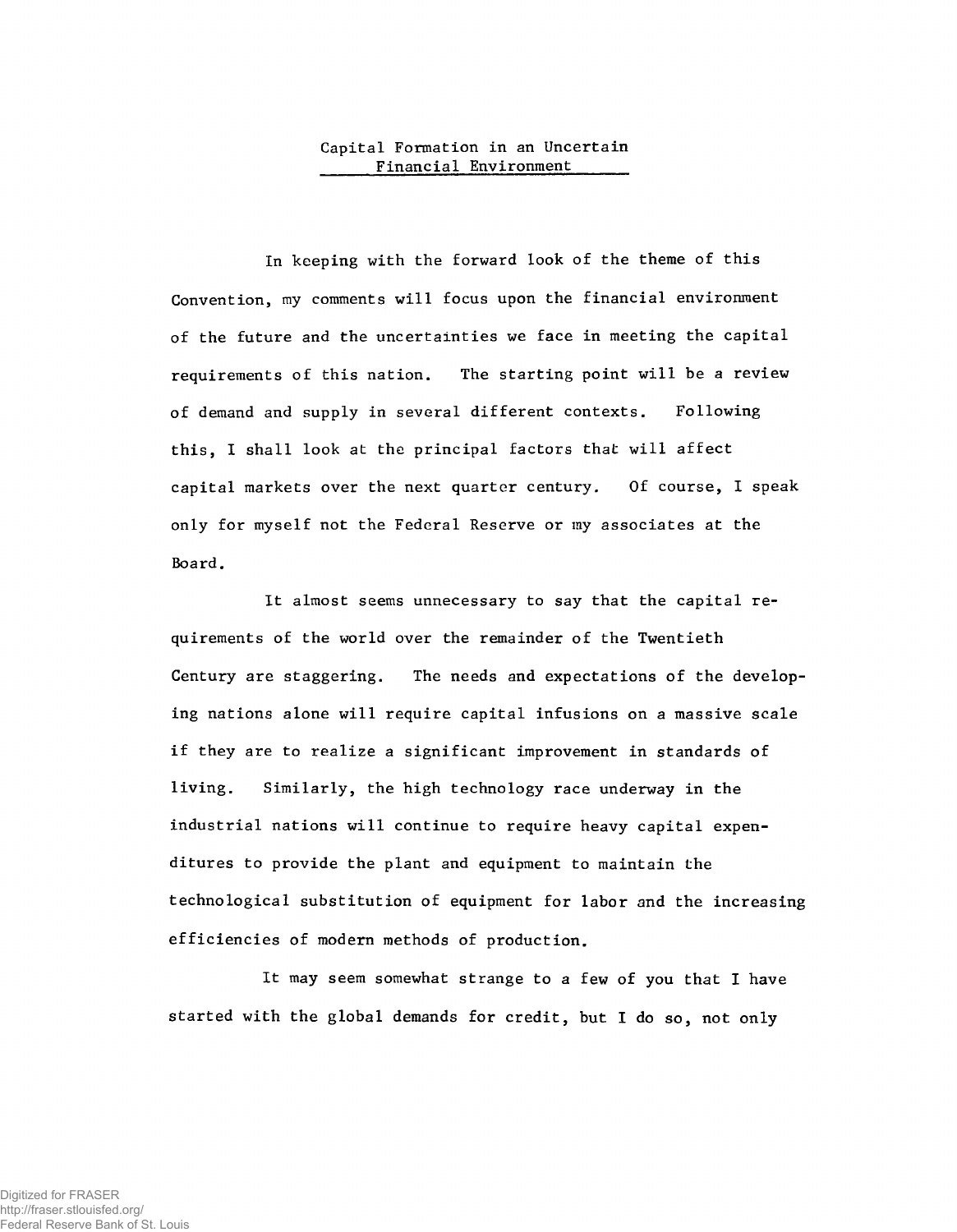## **Capital Formation in an Uncertain Financial Environment\_\_\_\_\_\_**

**In keeping with the forward look of the theme of this Convention, my comments will focus upon the financial environment of the future and the uncertainties we face in meeting the capital requirements of this nation. The starting point will be a review of demand and supply in several different contexts. Following this, I shall look at the principal factors that will affect capital markets over the next quarter century. Of course, I speak only for myself not the Federal Reserve or my associates at the Board.**

**It almost seems unnecessary to say that the capital requirements of the world over the remainder of the Twentieth Century are staggering. The needs and expectations of the developing nations alone will require capital infusions on a massive scale if they are to realize a significant improvement in standards of living. Similarly, the high technology race underway in the industrial nations will continue to require heavy capital expenditures to provide the plant and equipment to maintain the technological substitution of equipment for labor and the increasing efficiencies of modern methods of production.**

**It may seem somewhat strange to a few of you that I have started with the global demands for credit, but I do so, not only**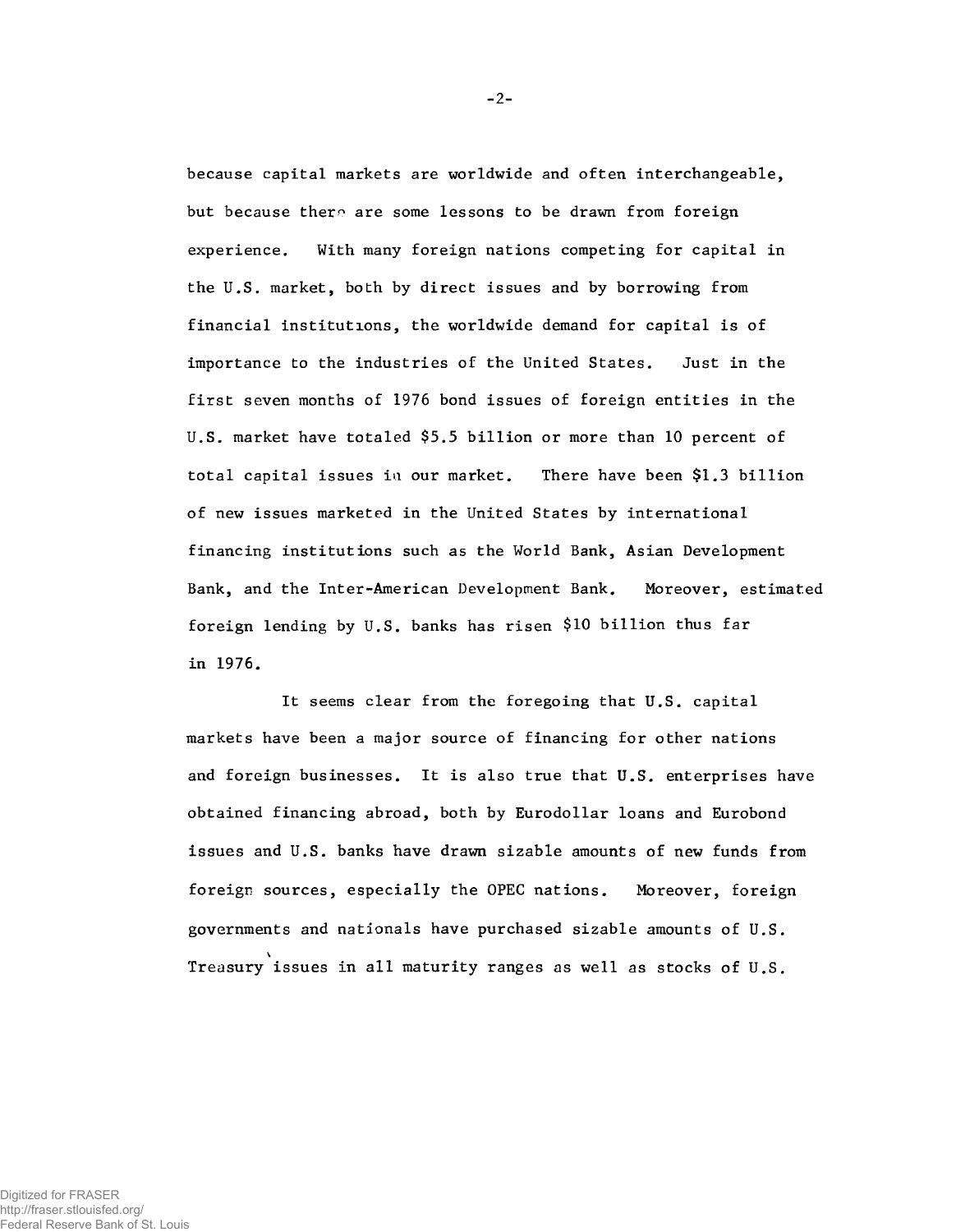**because capital markets are worldwide and often interchangeable,** but because there are some lessons to be drawn from foreign **experience. With many foreign nations competing for capital in the U.S. market, both by direct issues and by borrowing from financial institutions, the worldwide demand for capital is of importance to the industries of the United States. Just in the first seven months of 1976 bond issues of foreign entities in the U.S. market have totaled \$5.5 billion or more than 10 percent of total capital issues ia our market. There have been \$1.3 billion of new issues marketed in the United States by international financing institutions such as the World Bank, Asian Development Bank, and the Inter-American Development Bank. Moreover, estimated foreign lending by U.S. banks has risen \$10 billion thus far in 1976.**

It seems clear from the foregoing that U.S. capital **markets have been a major source of financing for other nations and foreign businesses. It is also true that U.S. enterprises have obtained financing abroad, both by Eurodollar loans and Eurobond issues and U.S. banks have drawn sizable amounts of new funds from foreign sources, especially the OPEC nations. Moreover, foreign governments and nationals have purchased sizable amounts of U.S.** \ **Treasury issues in all maturity ranges as well as stocks of U.S.**

**-** 2**-**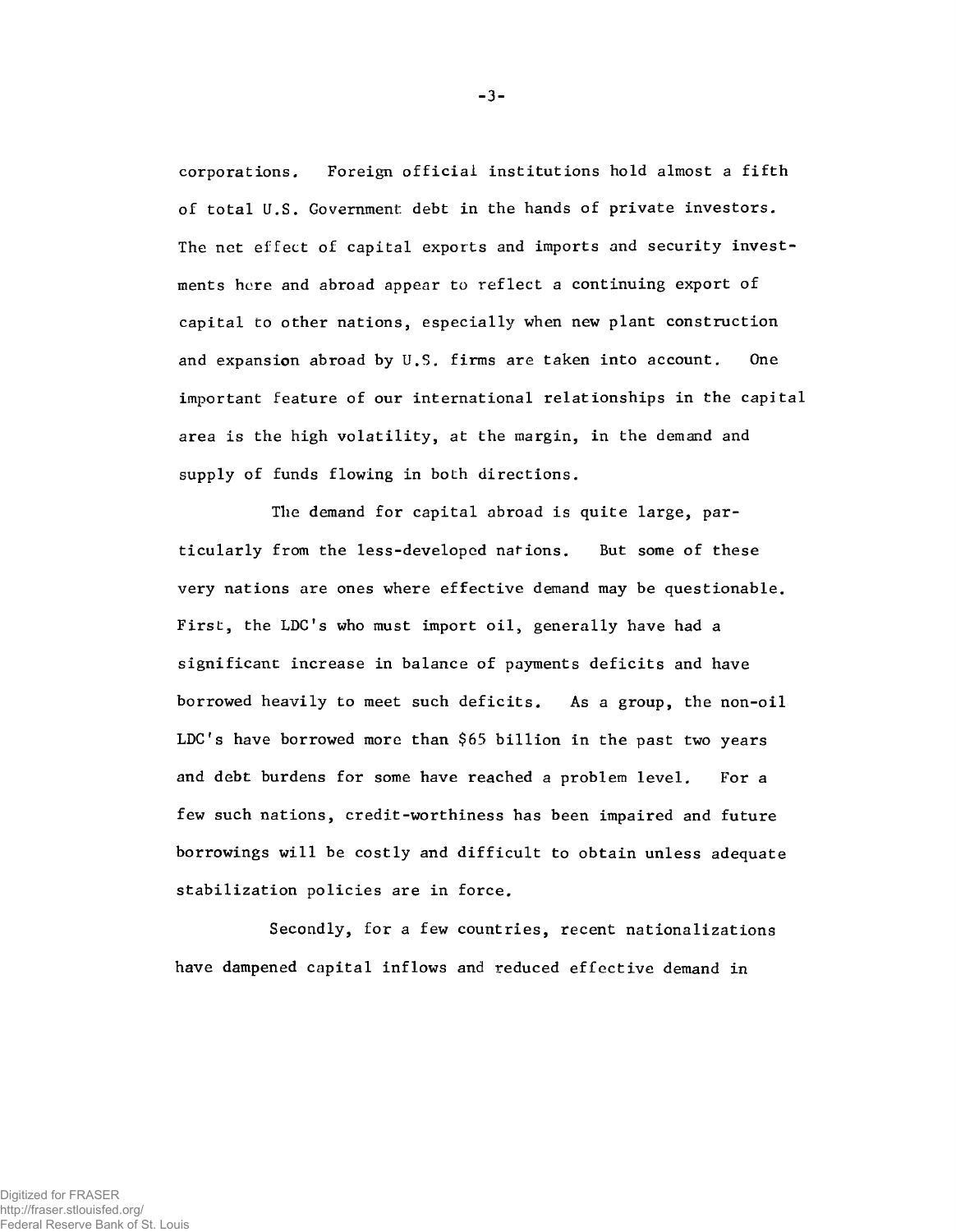**corporations. Foreign official institutions hold almost a fifth of total U.S. Government debt in the hands of private investors. The net effect, of capital exports and imports and security investments here and abroad appear to reflect a continuing export of capital to other nations, especially when new plant construction and expansion abroad by U.S. firms are taken into account. One important feature of our international relationships in the capital area is the high volatility, at the margin, in the demand and supply of funds flowing in both directions.**

**The demand for capital abroad is quite large, particularly from the less-developed nations. But some of these very nations are ones where effective demand may be questionable. First, the LDC's who must import oil, generally have had a significant increase in balance of payments deficits and have borrowed heavily to meet such deficits. As a group, the non-oil** LDC's have borrowed more than \$65 billion in the past two years **and debt burdens for some have reached a problem level. For a few such nations, credit-worthiness has been impaired and future borrowings will be costly and difficult to obtain unless adequate stabilization policies are in force.**

**Secondly, for a few countries, recent nationalizations have dampened capital inflows and reduced effective demand in**

-3-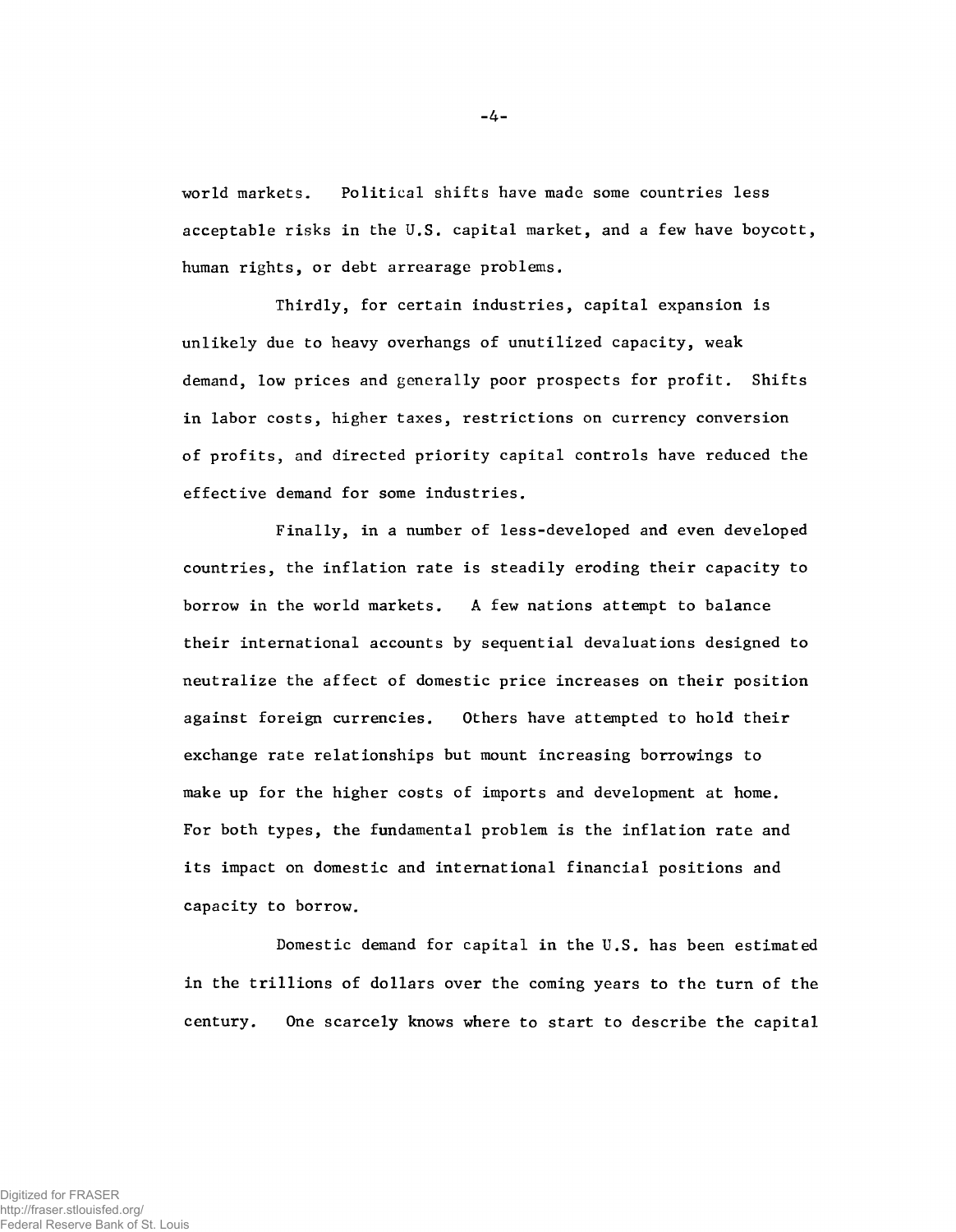**world markets. Political shifts have made some countries less acceptable risks in the U.S. capital market, and a few have boycott, human rights, or debt arrearage problems.**

**Thirdly, for certain industries, capital expansion is unlikely due to heavy overhangs of unutilized capacity, weak demand, low prices and generally poor prospects for profit. Shifts in labor costs, higher taxes, restrictions on currency conversion of profits, and directed priority capital controls have reduced the effective demand for some industries.**

**Finally, in a number of less-developed and even developed countries, the inflation rate is steadily eroding their capacity to borrow in the world markets. A few nations attempt to balance their international accounts by sequential devaluations designed to neutralize the affect of domestic price increases on their position against foreign currencies. Others have attempted to hold their exchange rate relationships but mount increasing borrowings to make up for the higher costs of imports and development at home. For both types, the fundamental problem is the inflation rate and its impact on domestic and international financial positions and capacity to borrow.**

**Domestic demand for capital in the U.S. has been estimated in the trillions of dollars over the coming years to the turn of the century. One scarcely knows where to start to describe the capital**

-4-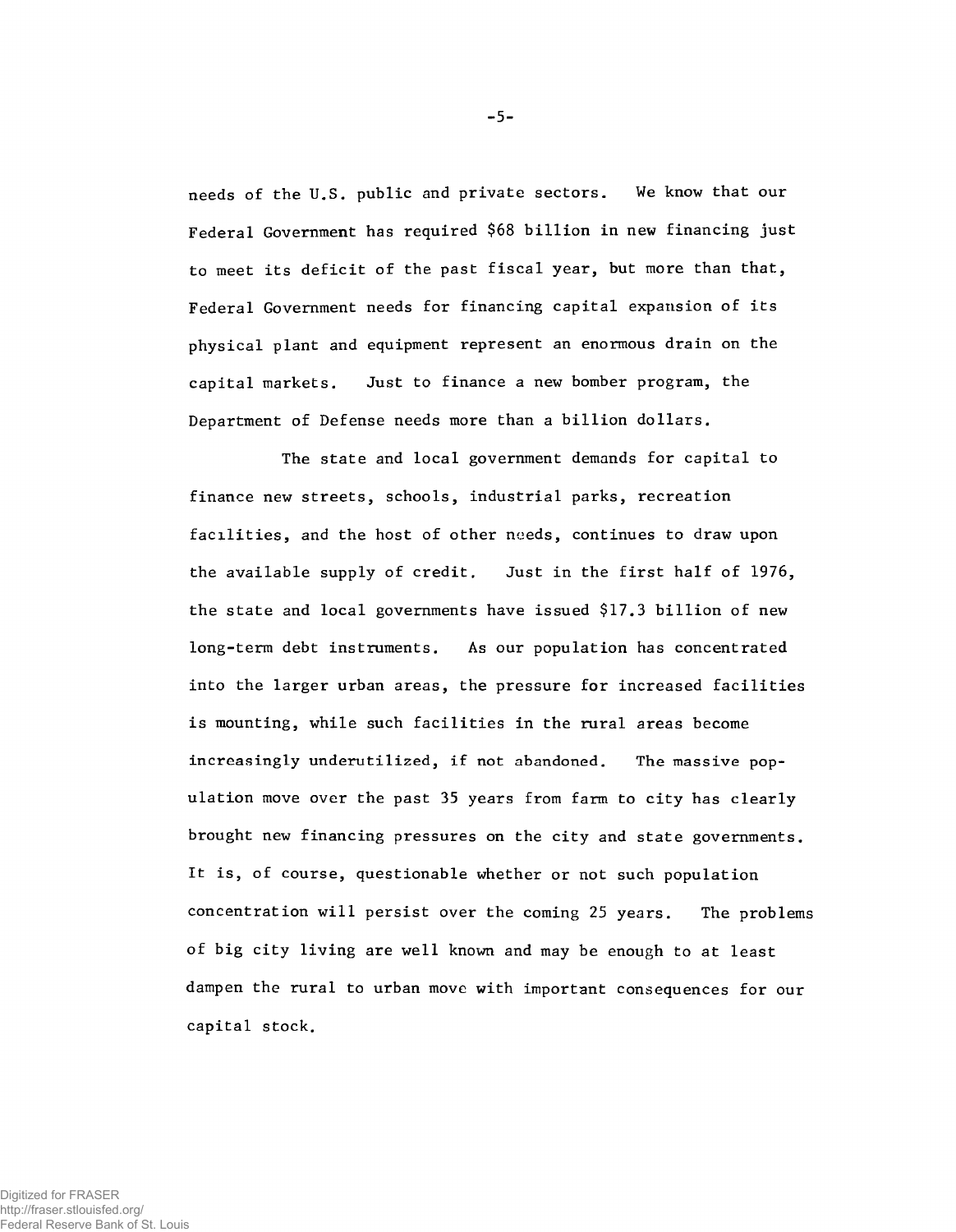**needs of the U.S. public and private sectors. We know that our Federal Government has required \$68 billion in new financing just to meet its deficit of the past fiscal year, but more than that, Federal Government needs for financing capital expansion of its physical plant and equipment represent an enormous drain on the capital markets. Just to finance a new bomber program, the Department of Defense needs more than a billion dollars.**

**The state and local government demands for capital to finance new streets, schools, industrial parks, recreation facilities, and the host of other needs, continues to draw upon the available supply of credit. Just in the first half of 1976, the state and local governments have issued \$17.3 billion of new long-term debt instruments. As our population has concentrated into the larger urban areas, the pressure for increased facilities is mounting, while such facilities in the rural areas become increasingly underutilized, if not abandoned. The massive population move over the past 35 years from farm to city has clearly brought new financing pressures on the city and state governments. It is, of course, questionable whether or not such population concentration will persist over the coming 25 years. The problems of big city living are well known and may be enough to at least dampen the rural to urban move with important consequences for our capital stock.**

-5-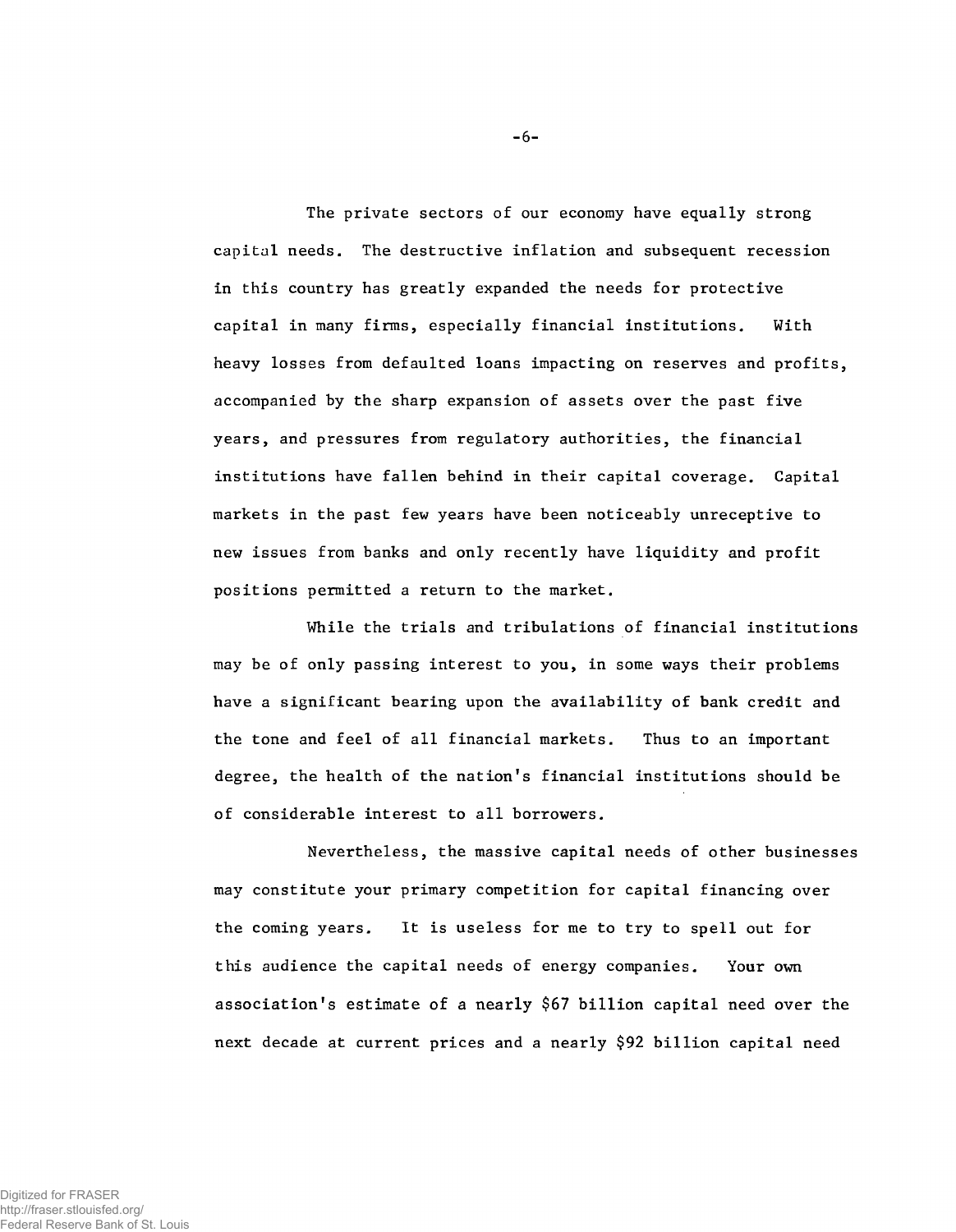**The private sectors of our economy have equally strong capital needs. The destructive inflation and subsequent recession in this country has greatly expanded the needs for protective capital in many firms, especially financial institutions. With heavy losses from defaulted loans impacting on reserves and profits, accompanied by the sharp expansion of assets over the past five years, and pressures from regulatory authorities, the financial institutions have fallen behind in their capital coverage. Capital markets in the past few years have been noticeably unreceptive to new issues from banks and only recently have liquidity and profit positions permitted a return to the market.**

**While the trials and tribulations of financial institutions may be of only passing interest to you, in some ways their problems have a significant bearing upon the availability of bank credit and the tone and feel of all financial markets. Thus to an important degree, the health of the nation's financial institutions should be of considerable interest to all borrowers.**

**Nevertheless, the massive capital needs of other businesses may constitute your primary competition for capital financing over the coming years. It is useless for me to try to spell out for this audience the capital needs of energy companies. Your own association's estimate of a nearly \$67 billion capital need over the next decade at current prices and a nearly \$92 billion capital need**

 $-6-$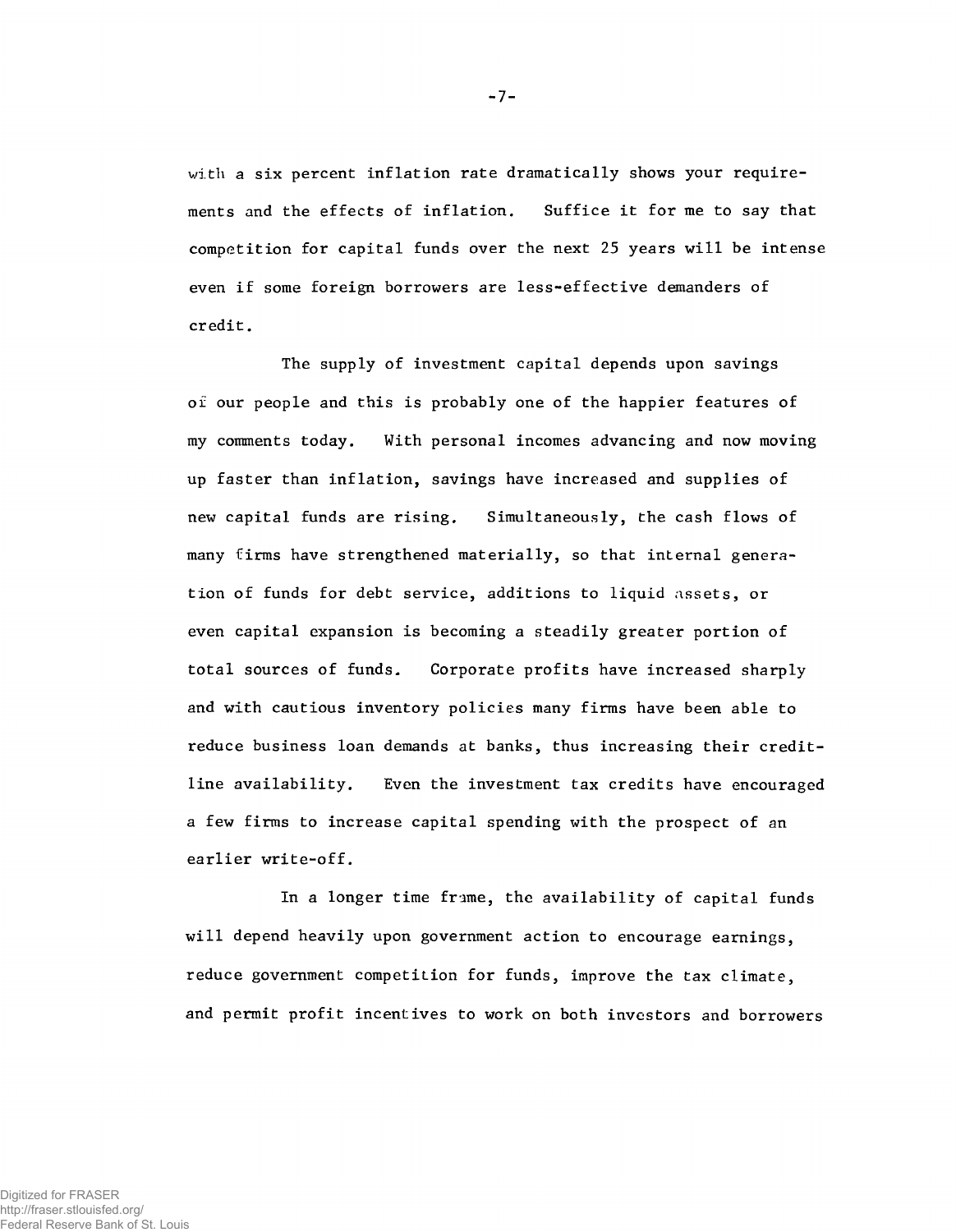**with a six percent inflation rate dramatically shows your requirements and the effects of inflation. Suffice it for me to say that competition for capital funds over the next 25 years will be intense even if some foreign borrowers are less-effective demanders of credit.**

**The supply of investment capital depends upon savings of our people and this is probably one of the happier features of my comments today. With personal incomes advancing and now moving up faster than inflation, savings have increased and supplies of new capital funds are rising. Simultaneously, the cash flows of many firms have strengthened materially, so that internal generation of funds for debt service, additions to liquid assets, or even capital expansion is becoming a steadily greater portion of total sources of funds. Corporate profits have increased sharply and with cautious inventory policies many firms have been able to reduce business loan demands at banks, thus increasing their creditline availability. Even the investment tax credits have encouraged a few firms to increase capital spending with the prospect of an earlier write-off.**

In a longer time frame, the availability of capital funds will depend heavily upon government action to encourage earnings, reduce government competition for funds, improve the tax climate, and permit profit incentives to work on both investors and borrowers

-7-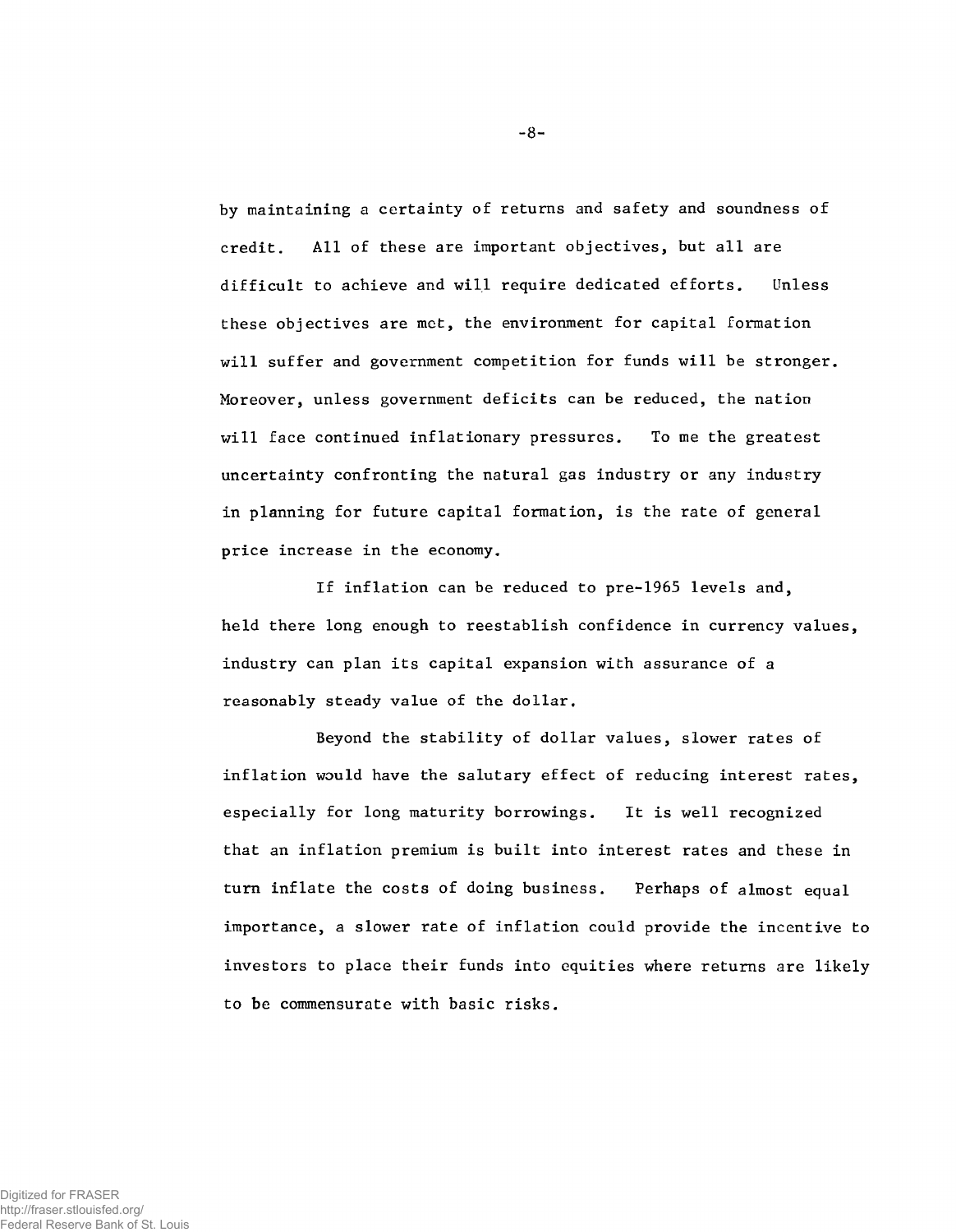**by maintaining a certainty of returns and safety and soundness of credit. All of these are important objectives, but all are difficult to achieve and will require dedicated efforts. Unless these objectives are met, the environment for capital formation will suffer and government competition for funds will be stronger. Moreover, unless government deficits can be reduced, the nation will face continued inflationary pressures. To me the greatest uncertainty confronting the natural gas industry or any industry in planning for future capital formation, is the rate of general price increase in the economy.**

**If inflation can be reduced to pre-1965 levels and, held there long enough to reestablish confidence in currency values, industry can plan its capital expansion with assurance of a reasonably steady value of the dollar.**

**Beyond the stability of dollar values, slower rates of inflation would have the salutary effect of reducing interest rates, especially for long maturity borrowings. It is well recognized that an inflation premium is built into interest rates and these in turn inflate the costs of doing business. Perhaps of almost equal importance, a slower rate of inflation could provide the incentive to investors to place their funds into equities where returns are likely to be commensurate with basic risks.**

**- 8-**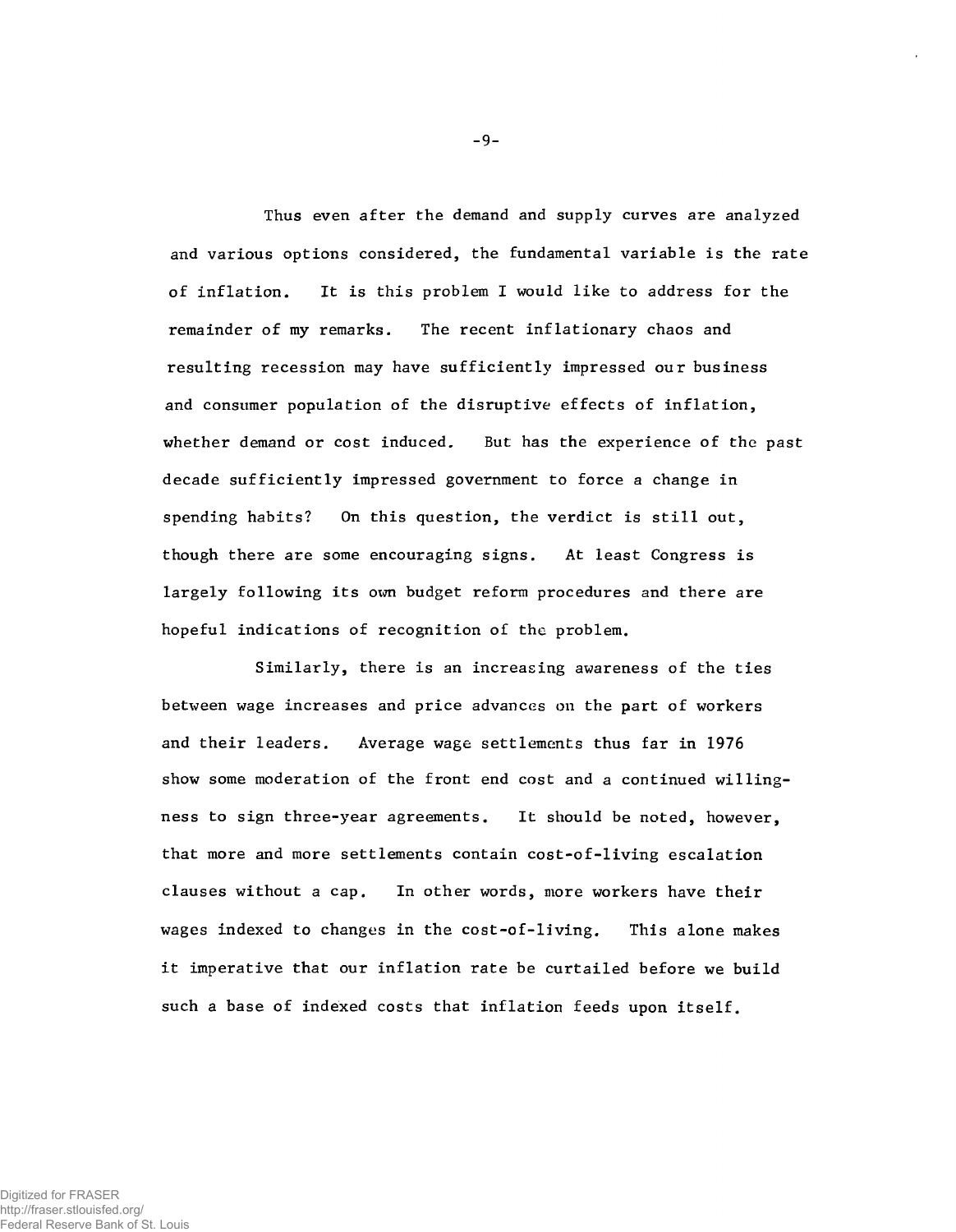**Thus even after the demand and supply curves are analyzed and various options considered, the fundamental variable is the rate of inflation. It is this problem I would like to address for the remainder of my remarks. The recent inflationary chaos and resulting recession may have sufficiently impressed our business and consumer population of the disruptive effects of inflation, whether demand or cost induced. But has the experience of the past decade sufficiently impressed government to force a change in spending habits? On this question, the verdict is still out, though there are some encouraging signs. At least Congress is largely following its own budget reform procedures and there are hopeful indications of recognition of the problem.**

**Similarly, there is an increasing awareness of the ties between wage increases and price advances 011 the part of workers and their leaders. Average wage settlements thus far in 1976 show some moderation of the front end cost and a continued willingness to sign three-year agreements. It should be noted, however, that more and more settlements contain cost-of-living escalation clauses without a cap. In other words, more workers have their wages indexed to changes in the cost-of-living. This alone makes it imperative that our inflation rate be curtailed before we build such a base of indexed costs that inflation feeds upon itself.**

-9-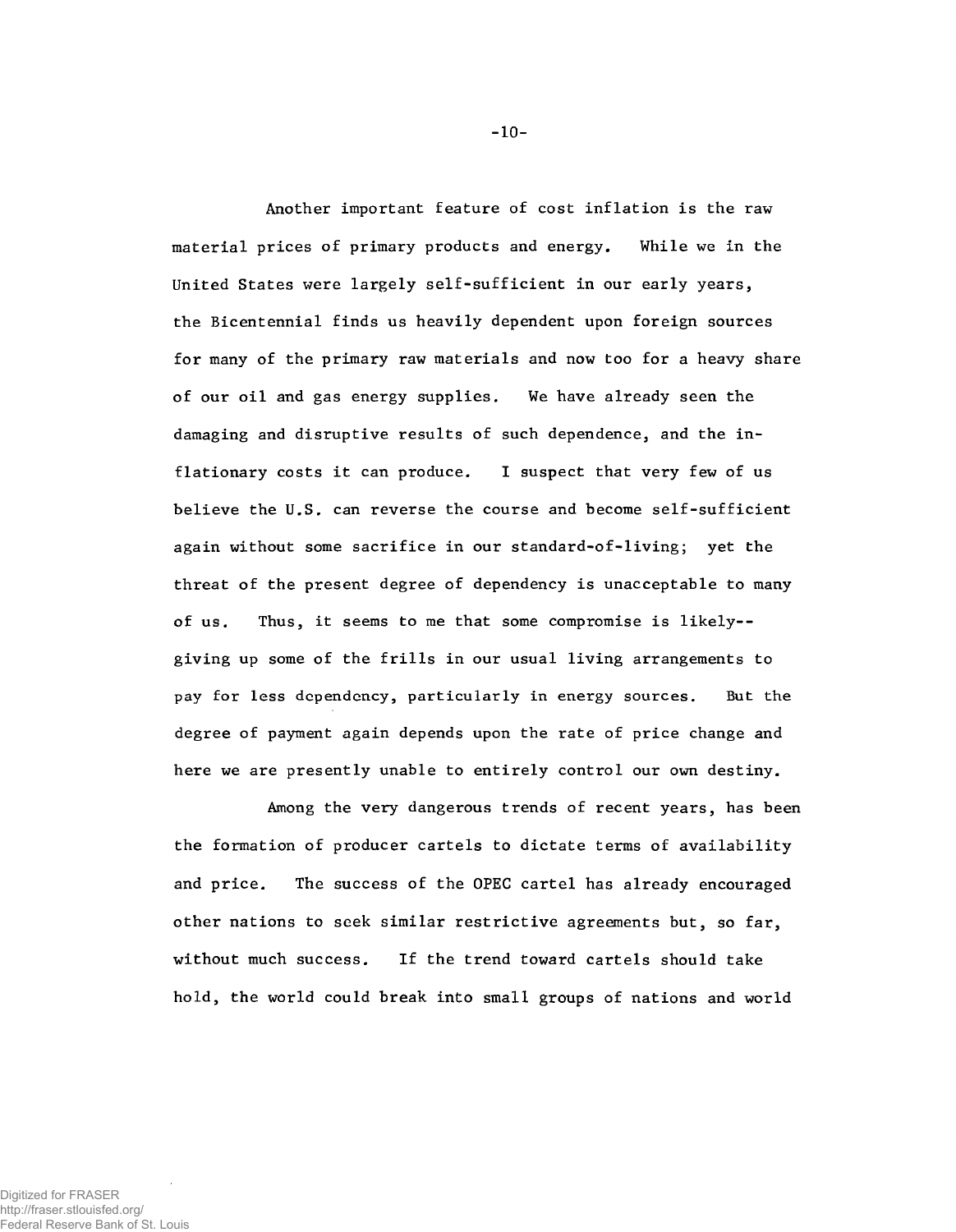**Another important feature of cost inflation is the raw material prices of primary products and energy. While we in the United States were largely self-sufficient in our early years, the Bicentennial finds us heavily dependent upon foreign sources for many of the primary raw materials and now too for a heavy share of our oil and gas energy supplies. We have already seen the damaging and disruptive results of such dependence, and the inflationary costs it can produce. I suspect that very few of us believe the U.S. can reverse the course and become self-sufficient again without some sacrifice in our standard-of-living; yet the threat of the present degree of dependency is unacceptable to many of us. Thus, it seems to me that some compromise is likely- giving up some of the frills in our usual living arrangements to pay for less dependency, particularly in energy sources. But the degree of payment again depends upon the rate of price change and here we are presently unable to entirely control our own destiny.**

**Among the very dangerous trends of recent years, has been the formation of producer cartels to dictate terms of availability and price. The success of the OPEC cartel has already encouraged other nations to seek similar restrictive agreements but, so far, without much success. If the trend toward cartels should take hold, the world could break into small groups of nations and world**

**-** 10**-**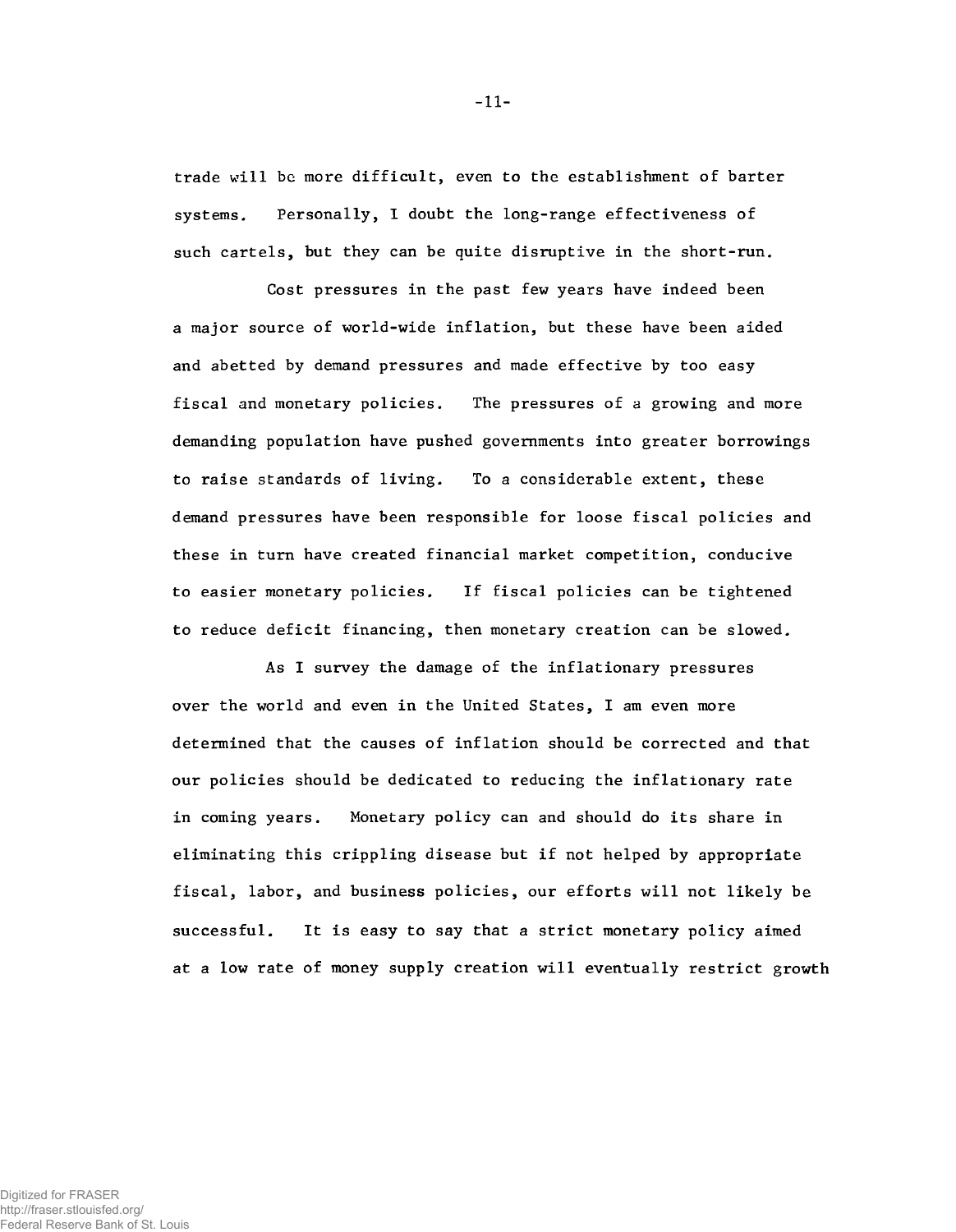**trade will be more difficult, even to the establishment of barter systems. Personally, I doubt the long-range effectiveness of such cartels, but they can be quite disruptive in the short-run.**

**Cost pressures in the past few years have indeed been a major source of world-wide inflation, but these have been aided and abetted by demand pressures and made effective by too easy fiscal and monetary policies. The pressures of a growing and more demanding population have pushed governments into greater borrowings to raise standards of living. To a considerable extent, these demand pressures have been responsible for loose fiscal policies and these in turn have created financial market competition, conducive to easier monetary policies. If fiscal policies can be tightened to reduce deficit financing, then monetary creation can be slowed.**

**As I survey the damage of the inflationary pressures over the world and even in the United States, I am even more determined that the causes of inflation should be corrected and that our policies should be dedicated to reducing the inflationary rate in coming years. Monetary policy can and should do its share in eliminating this crippling disease but if not helped by appropriate fiscal, labor, and business policies, our efforts will not likely be successful. It is easy to say that a strict monetary policy aimed at a low rate of money supply creation will eventually restrict growth**

**-** 11**-**